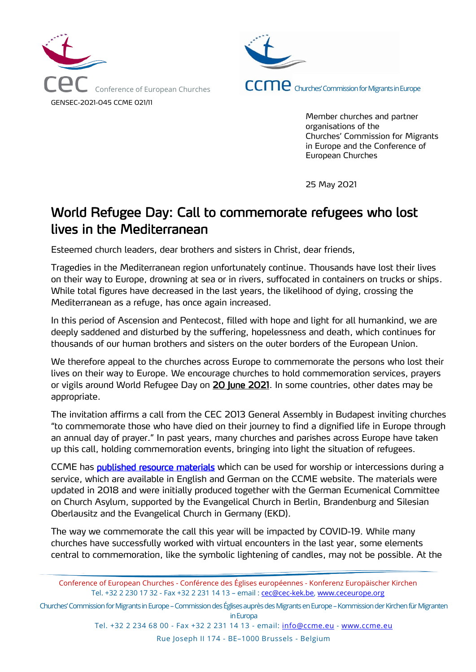



Member churches and partner organisations of the Churches' Commission for Migrants in Europe and the Conference of European Churches

25 May 2021

## World Refugee Day: Call to commemorate refugees who lost lives in the Mediterranean

Esteemed church leaders, dear brothers and sisters in Christ, dear friends,

Tragedies in the Mediterranean region unfortunately continue. Thousands have lost their lives on their way to Europe, drowning at sea or in rivers, suffocated in containers on trucks or ships. While total figures have decreased in the last years, the likelihood of dying, crossing the Mediterranean as a refuge, has once again increased.

In this period of Ascension and Pentecost, filled with hope and light for all humankind, we are deeply saddened and disturbed by the suffering, hopelessness and death, which continues for thousands of our human brothers and sisters on the outer borders of the European Union.

We therefore appeal to the churches across Europe to commemorate the persons who lost their lives on their way to Europe. We encourage churches to hold commemoration services, prayers or vigils around World Refugee Day on 20 June 2021. In some countries, other dates may be appropriate.

The invitation affirms a call from the CEC 2013 General Assembly in Budapest inviting churches "to commemorate those who have died on their journey to find a dignified life in Europe through an annual day of prayer." In past years, many churches and parishes across Europe have taken up this call, holding commemoration events, bringing into light the situation of refugees.

CCME has **published resource materials** which can be used for worship or intercessions during a service, which are available in English and German on the CCME website. The materials were updated in 2018 and were initially produced together with the German Ecumenical Committee on Church Asylum, supported by the Evangelical Church in Berlin, Brandenburg and Silesian Oberlausitz and the Evangelical Church in Germany (EKD).

The way we commemorate the call this year will be impacted by COVID-19. While many churches have successfully worked with virtual encounters in the last year, some elements central to commemoration, like the symbolic lightening of candles, may not be possible. At the

Churches' Commission for Migrants in Europe –Commission des Églises auprès des Migrants en Europe –Kommission der Kirchen für Migranten in Europa

Tel. +32 2 234 68 00 - Fax +32 2 231 14 13 - email: [info@ccme.eu](mailto:info@ccme.eu) - [www.ccme.eu](http://www.ccme.eu/)

Rue Joseph II 174 - BE–1000 Brussels - Belgium

Conference of European Churches - Conférence des Églises européennes - Konferenz Europäischer Kirchen Tel. +32 2 230 17 32 - Fax +32 2 231 14 13 – email : [cec@cec-kek.be,](mailto:cec@cec-kek.be) [www.ceceurope.org](http://www.ceceurope.org/)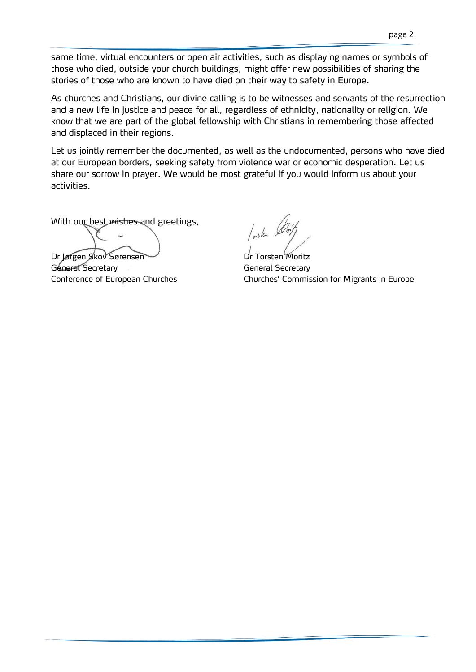same time, virtual encounters or open air activities, such as displaying names or symbols of those who died, outside your church buildings, might offer new possibilities of sharing the stories of those who are known to have died on their way to safety in Europe.

As churches and Christians, our divine calling is to be witnesses and servants of the resurrection and a new life in justice and peace for all, regardless of ethnicity, nationality or religion. We know that we are part of the global fellowship with Christians in remembering those affected and displaced in their regions.

Let us jointly remember the documented, as well as the undocumented, persons who have died at our European borders, seeking safety from violence war or economic desperation. Let us share our sorrow in prayer. We would be most grateful if you would inform us about your activities.

With our best wishes and greetings,

Dr Jørgen Skov Sørensen Dr Torsten Moritz General Secretary General Secretary

 $\int_{\mathbb{R}^{3}}$ la

Conference of European Churches **Churches'** Churches' Commission for Migrants in Europe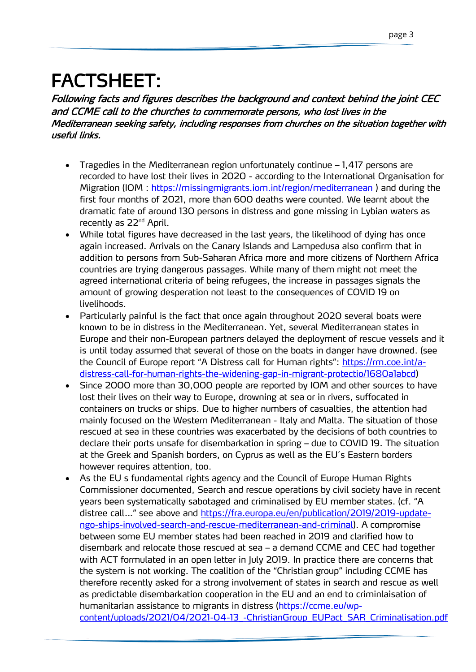## FACTSHEET:

Following facts and figures describes the background and context behind the joint CEC and CCME call to the churches to commemorate persons, who lost lives in the Mediterranean seeking safety, including responses from churches on the situation together with useful links.

- Tragedies in the Mediterranean region unfortunately continue 1,417 persons are recorded to have lost their lives in 2020 - according to the International Organisation for Migration (IOM :<https://missingmigrants.iom.int/region/mediterranean> ) and during the first four months of 2021, more than 600 deaths were counted. We learnt about the dramatic fate of around 130 persons in distress and gone missing in Lybian waters as recently as 22<sup>nd</sup> April.
- While total figures have decreased in the last years, the likelihood of dying has once again increased. Arrivals on the Canary Islands and Lampedusa also confirm that in addition to persons from Sub-Saharan Africa more and more citizens of Northern Africa countries are trying dangerous passages. While many of them might not meet the agreed international criteria of being refugees, the increase in passages signals the amount of growing desperation not least to the consequences of COVID 19 on livelihoods.
- Particularly painful is the fact that once again throughout 2020 several boats were known to be in distress in the Mediterranean. Yet, several Mediterranean states in Europe and their non-European partners delayed the deployment of rescue vessels and it is until today assumed that several of those on the boats in danger have drowned. (see the Council of Europe report "A Distress call for Human rights": [https://rm.coe.int/a](https://rm.coe.int/a-distress-call-for-human-rights-the-widening-gap-in-migrant-protectio/1680a1abcd)[distress-call-for-human-rights-the-widening-gap-in-migrant-protectio/1680a1abcd\)](https://rm.coe.int/a-distress-call-for-human-rights-the-widening-gap-in-migrant-protectio/1680a1abcd)
- Since 2000 more than 30,000 people are reported by IOM and other sources to have lost their lives on their way to Europe, drowning at sea or in rivers, suffocated in containers on trucks or ships. Due to higher numbers of casualties, the attention had mainly focused on the Western Mediterranean - Italy and Malta. The situation of those rescued at sea in these countries was exacerbated by the decisions of both countries to declare their ports unsafe for disembarkation in spring – due to COVID 19. The situation at the Greek and Spanish borders, on Cyprus as well as the EU´s Eastern borders however requires attention, too.
- As the EU s fundamental rights agency and the Council of Europe Human Rights Commissioner documented, Search and rescue operations by civil society have in recent years been systematically sabotaged and criminalised by EU member states. (cf. "A distree call…" see above and [https://fra.europa.eu/en/publication/2019/2019-update](https://fra.europa.eu/en/publication/2019/2019-update-ngo-ships-involved-search-and-rescue-mediterranean-and-criminal)[ngo-ships-involved-search-and-rescue-mediterranean-and-criminal\)](https://fra.europa.eu/en/publication/2019/2019-update-ngo-ships-involved-search-and-rescue-mediterranean-and-criminal). A compromise between some EU member states had been reached in 2019 and clarified how to disembark and relocate those rescued at sea – a demand CCME and CEC had together with ACT formulated in an open letter in July 2019. In practice there are concerns that the system is not working. The coalition of the "Christian group" including CCME has therefore recently asked for a strong involvement of states in search and rescue as well as predictable disembarkation cooperation in the EU and an end to criminlaisation of humanitarian assistance to migrants in distress [\(https://ccme.eu/wp](https://ccme.eu/wp-content/uploads/2021/04/2021-04-13_-ChristianGroup_EUPact_SAR_Criminalisation.pdf)[content/uploads/2021/04/2021-04-13\\_-ChristianGroup\\_EUPact\\_SAR\\_Criminalisation.pdf](https://ccme.eu/wp-content/uploads/2021/04/2021-04-13_-ChristianGroup_EUPact_SAR_Criminalisation.pdf)